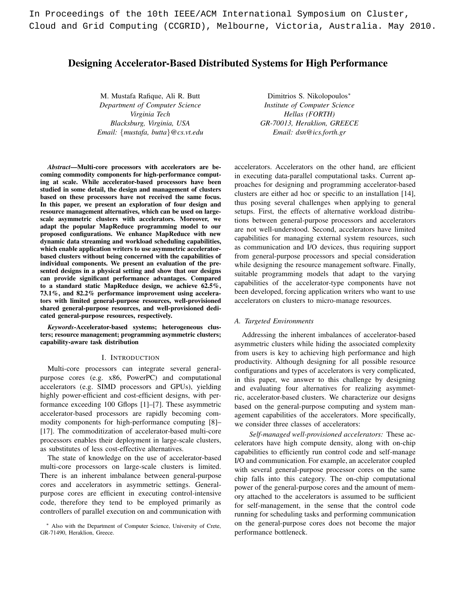In Proceedings of the 10th IEEE/ACM International Symposium on Cluster, Cloud and Grid Computing (CCGRID), Melbourne, Victoria, Australia. May 2010.

# **Designing Accelerator-Based Distributed Systems for High Performance**

M. Mustafa Rafique, Ali R. Butt *Department of Computer Science Virginia Tech Blacksburg, Virginia, USA Email:* {*mustafa, butta*}*@cs.vt.edu*

*Abstract***—Multi-core processors with accelerators are becoming commodity components for high-performance computing at scale. While accelerator-based processors have been studied in some detail, the design and management of clusters based on these processors have not received the same focus. In this paper, we present an exploration of four design and resource management alternatives, which can be used on largescale asymmetric clusters with accelerators. Moreover, we adapt the popular MapReduce programming model to our proposed configurations. We enhance MapReduce with new dynamic data streaming and workload scheduling capabilities, which enable application writers to use asymmetric acceleratorbased clusters without being concerned with the capabilities of individual components. We present an evaluation of the presented designs in a physical setting and show that our designs can provide significant performance advantages. Compared to a standard static MapReduce design, we achieve 62.5%, 73.1%, and 82.2% performance improvement using accelerators with limited general-purpose resources, well-provisioned shared general-purpose resources, and well-provisioned dedicated general-purpose resources, respectively.**

*Keywords***-Accelerator-based systems; heterogeneous clusters; resource management; programming asymmetric clusters; capability-aware task distribution**

#### I. INTRODUCTION

Multi-core processors can integrate several generalpurpose cores (e.g. x86, PowerPC) and computational accelerators (e.g. SIMD processors and GPUs), yielding highly power-efficient and cost-efficient designs, with performance exceeding 100 Gflops [1]–[7]. These asymmetric accelerator-based processors are rapidly becoming commodity components for high-performance computing [8]– [17]. The commoditization of accelerator-based multi-core processors enables their deployment in large-scale clusters, as substitutes of less cost-effective alternatives.

The state of knowledge on the use of accelerator-based multi-core processors on large-scale clusters is limited. There is an inherent imbalance between general-purpose cores and accelerators in asymmetric settings. Generalpurpose cores are efficient in executing control-intensive code, therefore they tend to be employed primarily as controllers of parallel execution on and communication with

Dimitrios S. Nikolopoulos<sup>∗</sup> *Institute of Computer Science Hellas (FORTH) GR-70013, Heraklion, GREECE Email: dsn@ics.forth.gr*

accelerators. Accelerators on the other hand, are efficient in executing data-parallel computational tasks. Current approaches for designing and programming accelerator-based clusters are either ad hoc or specific to an installation [14], thus posing several challenges when applying to general setups. First, the effects of alternative workload distributions between general-purpose processors and accelerators are not well-understood. Second, accelerators have limited capabilities for managing external system resources, such as communication and I/O devices, thus requiring support from general-purpose processors and special consideration while designing the resource management software. Finally, suitable programming models that adapt to the varying capabilities of the accelerator-type components have not been developed, forcing application writers who want to use accelerators on clusters to micro-manage resources.

#### *A. Targeted Environments*

Addressing the inherent imbalances of accelerator-based asymmetric clusters while hiding the associated complexity from users is key to achieving high performance and high productivity. Although designing for all possible resource configurations and types of accelerators is very complicated, in this paper, we answer to this challenge by designing and evaluating four alternatives for realizing asymmetric, accelerator-based clusters. We characterize our designs based on the general-purpose computing and system management capabilities of the accelerators. More specifically, we consider three classes of accelerators:

*Self-managed well-provisioned accelerators:* These accelerators have high compute density, along with on-chip capabilities to efficiently run control code and self-manage I/O and communication. For example, an accelerator coupled with several general-purpose processor cores on the same chip falls into this category. The on-chip computational power of the general-purpose cores and the amount of memory attached to the accelerators is assumed to be sufficient for self-management, in the sense that the control code running for scheduling tasks and performing communication on the general-purpose cores does not become the major performance bottleneck.

<sup>∗</sup> Also with the Department of Computer Science, University of Crete, GR-71490, Heraklion, Greece.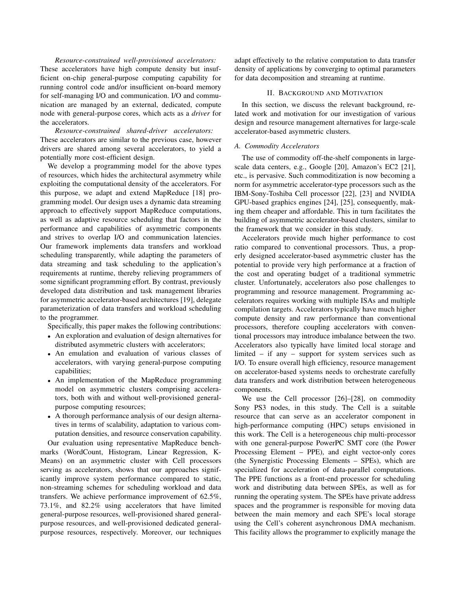*Resource-constrained well-provisioned accelerators:* These accelerators have high compute density but insufficient on-chip general-purpose computing capability for running control code and/or insufficient on-board memory for self-managing I/O and communication. I/O and communication are managed by an external, dedicated, compute node with general-purpose cores, which acts as a *driver* for the accelerators.

*Resource-constrained shared-driver accelerators:* These accelerators are similar to the previous case, however drivers are shared among several accelerators, to yield a potentially more cost-efficient design.

We develop a programming model for the above types of resources, which hides the architectural asymmetry while exploiting the computational density of the accelerators. For this purpose, we adapt and extend MapReduce [18] programming model. Our design uses a dynamic data streaming approach to effectively support MapReduce computations, as well as adaptive resource scheduling that factors in the performance and capabilities of asymmetric components and strives to overlap I/O and communication latencies. Our framework implements data transfers and workload scheduling transparently, while adapting the parameters of data streaming and task scheduling to the application's requirements at runtime, thereby relieving programmers of some significant programming effort. By contrast, previously developed data distribution and task management libraries for asymmetric accelerator-based architectures [19], delegate parameterization of data transfers and workload scheduling to the programmer.

Specifically, this paper makes the following contributions:

- An exploration and evaluation of design alternatives for distributed asymmetric clusters with accelerators;
- An emulation and evaluation of various classes of accelerators, with varying general-purpose computing capabilities;
- An implementation of the MapReduce programming model on asymmetric clusters comprising accelerators, both with and without well-provisioned generalpurpose computing resources;
- A thorough performance analysis of our design alternatives in terms of scalability, adaptation to various computation densities, and resource conservation capability.

Our evaluation using representative MapReduce benchmarks (WordCount, Histogram, Linear Regression, K-Means) on an asymmetric cluster with Cell processors serving as accelerators, shows that our approaches significantly improve system performance compared to static, non-streaming schemes for scheduling workload and data transfers. We achieve performance improvement of 62.5%, 73.1%, and 82.2% using accelerators that have limited general-purpose resources, well-provisioned shared generalpurpose resources, and well-provisioned dedicated generalpurpose resources, respectively. Moreover, our techniques adapt effectively to the relative computation to data transfer density of applications by converging to optimal parameters for data decomposition and streaming at runtime.

### II. BACKGROUND AND MOTIVATION

In this section, we discuss the relevant background, related work and motivation for our investigation of various design and resource management alternatives for large-scale accelerator-based asymmetric clusters.

### *A. Commodity Accelerators*

The use of commodity off-the-shelf components in largescale data centers, e.g., Google [20], Amazon's EC2 [21], etc., is pervasive. Such commoditization is now becoming a norm for asymmetric accelerator-type processors such as the IBM-Sony-Toshiba Cell processor [22], [23] and NVIDIA GPU-based graphics engines [24], [25], consequently, making them cheaper and affordable. This in turn facilitates the building of asymmetric accelerator-based clusters, similar to the framework that we consider in this study.

Accelerators provide much higher performance to cost ratio compared to conventional processors. Thus, a properly designed accelerator-based asymmetric cluster has the potential to provide very high performance at a fraction of the cost and operating budget of a traditional symmetric cluster. Unfortunately, accelerators also pose challenges to programming and resource management. Programming accelerators requires working with multiple ISAs and multiple compilation targets. Accelerators typically have much higher compute density and raw performance than conventional processors, therefore coupling accelerators with conventional processors may introduce imbalance between the two. Accelerators also typically have limited local storage and limited – if any – support for system services such as I/O. To ensure overall high efficiency, resource management on accelerator-based systems needs to orchestrate carefully data transfers and work distribution between heterogeneous components.

We use the Cell processor [26]–[28], on commodity Sony PS3 nodes, in this study. The Cell is a suitable resource that can serve as an accelerator component in high-performance computing (HPC) setups envisioned in this work. The Cell is a heterogeneous chip multi-processor with one general-purpose PowerPC SMT core (the Power Processing Element – PPE), and eight vector-only cores (the Synergistic Processing Elements – SPEs), which are specialized for acceleration of data-parallel computations. The PPE functions as a front-end processor for scheduling work and distributing data between SPEs, as well as for running the operating system. The SPEs have private address spaces and the programmer is responsible for moving data between the main memory and each SPE's local storage using the Cell's coherent asynchronous DMA mechanism. This facility allows the programmer to explicitly manage the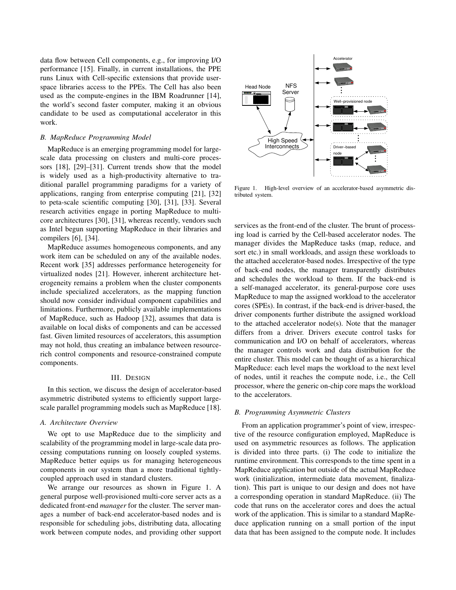data flow between Cell components, e.g., for improving I/O performance [15]. Finally, in current installations, the PPE runs Linux with Cell-specific extensions that provide userspace libraries access to the PPEs. The Cell has also been used as the compute-engines in the IBM Roadrunner [14], the world's second faster computer, making it an obvious candidate to be used as computational accelerator in this work.

#### *B. MapReduce Programming Model*

MapReduce is an emerging programming model for largescale data processing on clusters and multi-core processors [18], [29]–[31]. Current trends show that the model is widely used as a high-productivity alternative to traditional parallel programming paradigms for a variety of applications, ranging from enterprise computing [21], [32] to peta-scale scientific computing [30], [31], [33]. Several research activities engage in porting MapReduce to multicore architectures [30], [31], whereas recently, vendors such as Intel begun supporting MapReduce in their libraries and compilers [6], [34].

MapReduce assumes homogeneous components, and any work item can be scheduled on any of the available nodes. Recent work [35] addresses performance heterogeneity for virtualized nodes [21]. However, inherent architecture heterogeneity remains a problem when the cluster components include specialized accelerators, as the mapping function should now consider individual component capabilities and limitations. Furthermore, publicly available implementations of MapReduce, such as Hadoop [32], assumes that data is available on local disks of components and can be accessed fast. Given limited resources of accelerators, this assumption may not hold, thus creating an imbalance between resourcerich control components and resource-constrained compute components.

### III. DESIGN

In this section, we discuss the design of accelerator-based asymmetric distributed systems to efficiently support largescale parallel programming models such as MapReduce [18].

### *A. Architecture Overview*

We opt to use MapReduce due to the simplicity and scalability of the programming model in large-scale data processing computations running on loosely coupled systems. MapReduce better equips us for managing heterogeneous components in our system than a more traditional tightlycoupled approach used in standard clusters.

We arrange our resources as shown in Figure 1. A general purpose well-provisioned multi-core server acts as a dedicated front-end *manager* for the cluster. The server manages a number of back-end accelerator-based nodes and is responsible for scheduling jobs, distributing data, allocating work between compute nodes, and providing other support



Figure 1. High-level overview of an accelerator-based asymmetric distributed system.

services as the front-end of the cluster. The brunt of processing load is carried by the Cell-based accelerator nodes. The manager divides the MapReduce tasks (map, reduce, and sort etc.) in small workloads, and assign these workloads to the attached accelerator-based nodes. Irrespective of the type of back-end nodes, the manager transparently distributes and schedules the workload to them. If the back-end is a self-managed accelerator, its general-purpose core uses MapReduce to map the assigned workload to the accelerator cores (SPEs). In contrast, if the back-end is driver-based, the driver components further distribute the assigned workload to the attached accelerator node(s). Note that the manager differs from a driver. Drivers execute control tasks for communication and I/O on behalf of accelerators, whereas the manager controls work and data distribution for the entire cluster. This model can be thought of as a hierarchical MapReduce: each level maps the workload to the next level of nodes, until it reaches the compute node, i.e., the Cell processor, where the generic on-chip core maps the workload to the accelerators.

### *B. Programming Asymmetric Clusters*

From an application programmer's point of view, irrespective of the resource configuration employed, MapReduce is used on asymmetric resources as follows. The application is divided into three parts. (i) The code to initialize the runtime environment. This corresponds to the time spent in a MapReduce application but outside of the actual MapReduce work (initialization, intermediate data movement, finalization). This part is unique to our design and does not have a corresponding operation in standard MapReduce. (ii) The code that runs on the accelerator cores and does the actual work of the application. This is similar to a standard MapReduce application running on a small portion of the input data that has been assigned to the compute node. It includes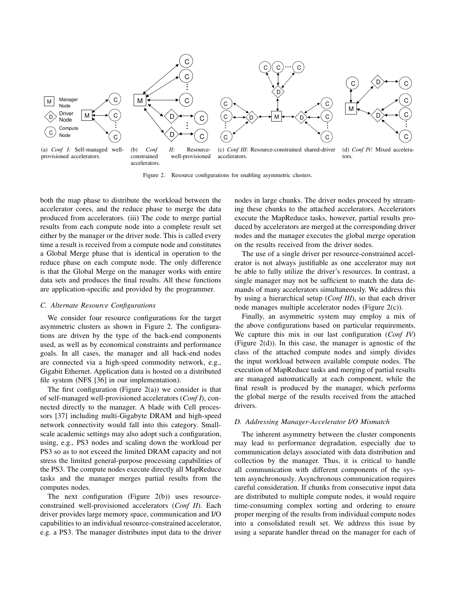

Figure 2. Resource configurations for enabling asymmetric clusters.

both the map phase to distribute the workload between the accelerator cores, and the reduce phase to merge the data produced from accelerators. (iii) The code to merge partial results from each compute node into a complete result set either by the manager or the driver node. This is called every time a result is received from a compute node and constitutes a Global Merge phase that is identical in operation to the reduce phase on each compute node. The only difference is that the Global Merge on the manager works with entire data sets and produces the final results. All these functions are application-specific and provided by the programmer.

### *C. Alternate Resource Configurations*

We consider four resource configurations for the target asymmetric clusters as shown in Figure 2. The configurations are driven by the type of the back-end components used, as well as by economical constraints and performance goals. In all cases, the manager and all back-end nodes are connected via a high-speed commodity network, e.g., Gigabit Ethernet. Application data is hosted on a distributed file system (NFS [36] in our implementation).

The first configuration (Figure  $2(a)$ ) we consider is that of self-managed well-provisioned accelerators (*Conf I*), connected directly to the manager. A blade with Cell processors [37] including multi-Gigabyte DRAM and high-speed network connectivity would fall into this category. Smallscale academic settings may also adopt such a configuration, using, e.g., PS3 nodes and scaling down the workload per PS3 so as to not exceed the limited DRAM capacity and not stress the limited general-purpose processing capabilities of the PS3. The compute nodes execute directly all MapReduce tasks and the manager merges partial results from the computes nodes.

The next configuration (Figure 2(b)) uses resourceconstrained well-provisioned accelerators (*Conf II*). Each driver provides large memory space, communication and I/O capabilities to an individual resource-constrained accelerator, e.g. a PS3. The manager distributes input data to the driver nodes in large chunks. The driver nodes proceed by streaming these chunks to the attached accelerators. Accelerators execute the MapReduce tasks, however, partial results produced by accelerators are merged at the corresponding driver nodes and the manager executes the global merge operation on the results received from the driver nodes.

The use of a single driver per resource-constrained accelerator is not always justifiable as one accelerator may not be able to fully utilize the driver's resources. In contrast, a single manager may not be sufficient to match the data demands of many accelerators simultaneously. We address this by using a hierarchical setup (*Conf III*), so that each driver node manages multiple accelerator nodes (Figure 2(c)).

Finally, an asymmetric system may employ a mix of the above configurations based on particular requirements. We capture this mix in our last configuration (*Conf IV*) (Figure 2(d)). In this case, the manager is agnostic of the class of the attached compute nodes and simply divides the input workload between available compute nodes. The execution of MapReduce tasks and merging of partial results are managed automatically at each component, while the final result is produced by the manager, which performs the global merge of the results received from the attached drivers.

#### *D. Addressing Manager-Accelerator I/O Mismatch*

The inherent asymmetry between the cluster components may lead to performance degradation, especially due to communication delays associated with data distribution and collection by the manager. Thus, it is critical to handle all communication with different components of the system asynchronously. Asynchronous communication requires careful consideration. If chunks from consecutive input data are distributed to multiple compute nodes, it would require time-consuming complex sorting and ordering to ensure proper merging of the results from individual compute nodes into a consolidated result set. We address this issue by using a separate handler thread on the manager for each of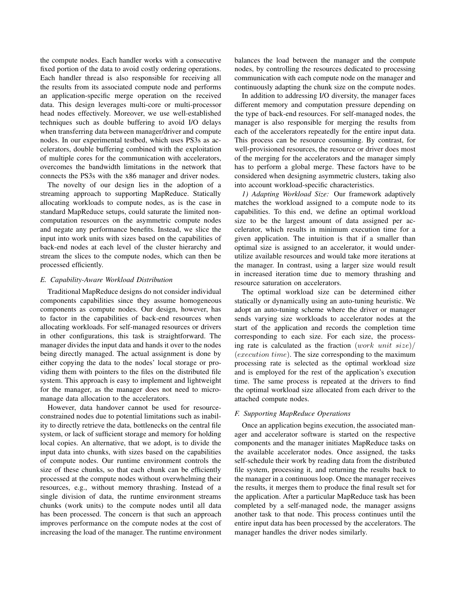the compute nodes. Each handler works with a consecutive fixed portion of the data to avoid costly ordering operations. Each handler thread is also responsible for receiving all the results from its associated compute node and performs an application-specific merge operation on the received data. This design leverages multi-core or multi-processor head nodes effectively. Moreover, we use well-established techniques such as double buffering to avoid I/O delays when transferring data between manager/driver and compute nodes. In our experimental testbed, which uses PS3s as accelerators, double buffering combined with the exploitation of multiple cores for the communication with accelerators, overcomes the bandwidth limitations in the network that connects the PS3s with the x86 manager and driver nodes.

The novelty of our design lies in the adoption of a streaming approach to supporting MapReduce. Statically allocating workloads to compute nodes, as is the case in standard MapReduce setups, could saturate the limited noncomputation resources on the asymmetric compute nodes and negate any performance benefits. Instead, we slice the input into work units with sizes based on the capabilities of back-end nodes at each level of the cluster hierarchy and stream the slices to the compute nodes, which can then be processed efficiently.

#### *E. Capability-Aware Workload Distribution*

Traditional MapReduce designs do not consider individual components capabilities since they assume homogeneous components as compute nodes. Our design, however, has to factor in the capabilities of back-end resources when allocating workloads. For self-managed resources or drivers in other configurations, this task is straightforward. The manager divides the input data and hands it over to the nodes being directly managed. The actual assignment is done by either copying the data to the nodes' local storage or providing them with pointers to the files on the distributed file system. This approach is easy to implement and lightweight for the manager, as the manager does not need to micromanage data allocation to the accelerators.

However, data handover cannot be used for resourceconstrained nodes due to potential limitations such as inability to directly retrieve the data, bottlenecks on the central file system, or lack of sufficient storage and memory for holding local copies. An alternative, that we adopt, is to divide the input data into chunks, with sizes based on the capabilities of compute nodes. Our runtime environment controls the size of these chunks, so that each chunk can be efficiently processed at the compute nodes without overwhelming their resources, e.g., without memory thrashing. Instead of a single division of data, the runtime environment streams chunks (work units) to the compute nodes until all data has been processed. The concern is that such an approach improves performance on the compute nodes at the cost of increasing the load of the manager. The runtime environment

balances the load between the manager and the compute nodes, by controlling the resources dedicated to processing communication with each compute node on the manager and continuously adapting the chunk size on the compute nodes.

In addition to addressing I/O diversity, the manager faces different memory and computation pressure depending on the type of back-end resources. For self-managed nodes, the manager is also responsible for merging the results from each of the accelerators repeatedly for the entire input data. This process can be resource consuming. By contrast, for well-provisioned resources, the resource or driver does most of the merging for the accelerators and the manager simply has to perform a global merge. These factors have to be considered when designing asymmetric clusters, taking also into account workload-specific characteristics.

*1) Adapting Workload Size:* Our framework adaptively matches the workload assigned to a compute node to its capabilities. To this end, we define an optimal workload size to be the largest amount of data assigned per accelerator, which results in minimum execution time for a given application. The intuition is that if a smaller than optimal size is assigned to an accelerator, it would underutilize available resources and would take more iterations at the manager. In contrast, using a larger size would result in increased iteration time due to memory thrashing and resource saturation on accelerators.

The optimal workload size can be determined either statically or dynamically using an auto-tuning heuristic. We adopt an auto-tuning scheme where the driver or manager sends varying size workloads to accelerator nodes at the start of the application and records the completion time corresponding to each size. For each size, the processing rate is calculated as the fraction  $(wordk unit size)$ (execution time). The size corresponding to the maximum processing rate is selected as the optimal workload size and is employed for the rest of the application's execution time. The same process is repeated at the drivers to find the optimal workload size allocated from each driver to the attached compute nodes.

### *F. Supporting MapReduce Operations*

Once an application begins execution, the associated manager and accelerator software is started on the respective components and the manager initiates MapReduce tasks on the available accelerator nodes. Once assigned, the tasks self-schedule their work by reading data from the distributed file system, processing it, and returning the results back to the manager in a continuous loop. Once the manager receives the results, it merges them to produce the final result set for the application. After a particular MapReduce task has been completed by a self-managed node, the manager assigns another task to that node. This process continues until the entire input data has been processed by the accelerators. The manager handles the driver nodes similarly.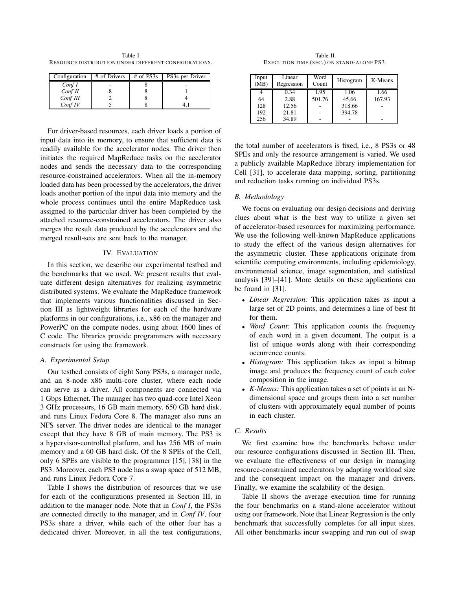Table I RESOURCE DISTRIBUTION UNDER DIFFERENT CONFIGURATIONS.

| Configuration | # of Drivers | $#$ of PS3s | PS3s per Driver |
|---------------|--------------|-------------|-----------------|
| ConfI         |              |             |                 |
| $Conf$ II     |              |             |                 |
| Conf III      |              |             |                 |
| $Conf$ IV     |              |             |                 |

For driver-based resources, each driver loads a portion of input data into its memory, to ensure that sufficient data is readily available for the accelerator nodes. The driver then initiates the required MapReduce tasks on the accelerator nodes and sends the necessary data to the corresponding resource-constrained accelerators. When all the in-memory loaded data has been processed by the accelerators, the driver loads another portion of the input data into memory and the whole process continues until the entire MapReduce task assigned to the particular driver has been completed by the attached resource-constrained accelerators. The driver also merges the result data produced by the accelerators and the merged result-sets are sent back to the manager.

### IV. EVALUATION

In this section, we describe our experimental testbed and the benchmarks that we used. We present results that evaluate different design alternatives for realizing asymmetric distributed systems. We evaluate the MapReduce framework that implements various functionalities discussed in Section III as lightweight libraries for each of the hardware platforms in our configurations, i.e., x86 on the manager and PowerPC on the compute nodes, using about 1600 lines of C code. The libraries provide programmers with necessary constructs for using the framework.

### *A. Experimental Setup*

Our testbed consists of eight Sony PS3s, a manager node, and an 8-node x86 multi-core cluster, where each node can serve as a driver. All components are connected via 1 Gbps Ethernet. The manager has two quad-core Intel Xeon 3 GHz processors, 16 GB main memory, 650 GB hard disk, and runs Linux Fedora Core 8. The manager also runs an NFS server. The driver nodes are identical to the manager except that they have 8 GB of main memory. The PS3 is a hypervisor-controlled platform, and has 256 MB of main memory and a 60 GB hard disk. Of the 8 SPEs of the Cell, only 6 SPEs are visible to the programmer [15], [38] in the PS3. Moreover, each PS3 node has a swap space of 512 MB, and runs Linux Fedora Core 7.

Table I shows the distribution of resources that we use for each of the configurations presented in Section III, in addition to the manager node. Note that in *Conf I*, the PS3s are connected directly to the manager, and in *Conf IV*, four PS3s share a driver, while each of the other four has a dedicated driver. Moreover, in all the test configurations,

Table II EXECUTION TIME (SEC.) ON STAND-ALONE PS3.

| Input<br>(MB) | Linear<br>Regression | Word<br>Count | Histogram | K-Means |  |
|---------------|----------------------|---------------|-----------|---------|--|
|               | 0.34                 | 1.95          | 1.06      | 1.66    |  |
| 64            | 2.88                 | 501.76        | 45.66     | 167.93  |  |
| 128           | 12.56                |               | 318.66    |         |  |
| 192           | 21.81                |               | 394.78    |         |  |
| 256           | 34.89                |               |           |         |  |

the total number of accelerators is fixed, i.e., 8 PS3s or 48 SPEs and only the resource arrangement is varied. We used a publicly available MapReduce library implementation for Cell [31], to accelerate data mapping, sorting, partitioning and reduction tasks running on individual PS3s.

### *B. Methodology*

We focus on evaluating our design decisions and deriving clues about what is the best way to utilize a given set of accelerator-based resources for maximizing performance. We use the following well-known MapReduce applications to study the effect of the various design alternatives for the asymmetric cluster. These applications originate from scientific computing environments, including epidemiology, environmental science, image segmentation, and statistical analysis [39]–[41]. More details on these applications can be found in [31].

- *Linear Regression:* This application takes as input a large set of 2D points, and determines a line of best fit for them.
- *Word Count:* This application counts the frequency of each word in a given document. The output is a list of unique words along with their corresponding occurrence counts.
- *Histogram:* This application takes as input a bitmap image and produces the frequency count of each color composition in the image.
- *K-Means:* This application takes a set of points in an Ndimensional space and groups them into a set number of clusters with approximately equal number of points in each cluster.

## *C. Results*

We first examine how the benchmarks behave under our resource configurations discussed in Section III. Then, we evaluate the effectiveness of our design in managing resource-constrained accelerators by adapting workload size and the consequent impact on the manager and drivers. Finally, we examine the scalability of the design.

Table II shows the average execution time for running the four benchmarks on a stand-alone accelerator without using our framework. Note that Linear Regression is the only benchmark that successfully completes for all input sizes. All other benchmarks incur swapping and run out of swap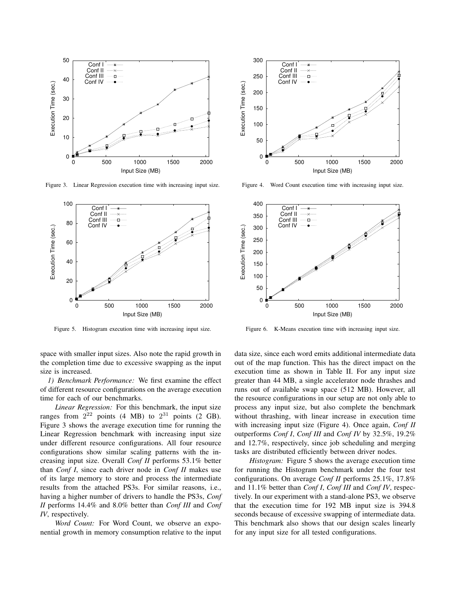

Figure 3. Linear Regression execution time with increasing input size.



Figure 5. Histogram execution time with increasing input size.

space with smaller input sizes. Also note the rapid growth in the completion time due to excessive swapping as the input size is increased.

*1) Benchmark Performance:* We first examine the effect of different resource configurations on the average execution time for each of our benchmarks.

*Linear Regression:* For this benchmark, the input size ranges from  $2^{22}$  points (4 MB) to  $2^{31}$  points (2 GB). Figure 3 shows the average execution time for running the Linear Regression benchmark with increasing input size under different resource configurations. All four resource configurations show similar scaling patterns with the increasing input size. Overall *Conf II* performs 53.1% better than *Conf I*, since each driver node in *Conf II* makes use of its large memory to store and process the intermediate results from the attached PS3s. For similar reasons, i.e., having a higher number of drivers to handle the PS3s, *Conf II* performs 14.4% and 8.0% better than *Conf III* and *Conf IV*, respectively.

*Word Count:* For Word Count, we observe an exponential growth in memory consumption relative to the input



Figure 4. Word Count execution time with increasing input size.



Figure 6. K-Means execution time with increasing input size.

data size, since each word emits additional intermediate data out of the map function. This has the direct impact on the execution time as shown in Table II. For any input size greater than 44 MB, a single accelerator node thrashes and runs out of available swap space (512 MB). However, all the resource configurations in our setup are not only able to process any input size, but also complete the benchmark without thrashing, with linear increase in execution time with increasing input size (Figure 4). Once again, *Conf II* outperforms *Conf I*, *Conf III* and *Conf IV* by 32.5%, 19.2% and 12.7%, respectively, since job scheduling and merging tasks are distributed efficiently between driver nodes.

*Histogram:* Figure 5 shows the average execution time for running the Histogram benchmark under the four test configurations. On average *Conf II* performs 25.1%, 17.8% and 11.1% better than *Conf I*, *Conf III* and *Conf IV*, respectively. In our experiment with a stand-alone PS3, we observe that the execution time for 192 MB input size is 394.8 seconds because of excessive swapping of intermediate data. This benchmark also shows that our design scales linearly for any input size for all tested configurations.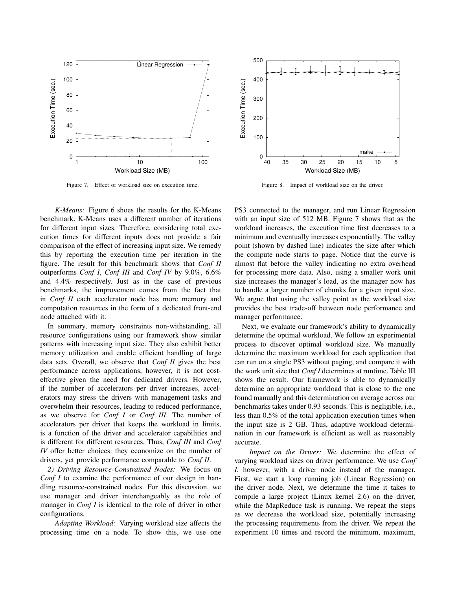

Figure 7. Effect of workload size on execution time.

*K-Means:* Figure 6 shoes the results for the K-Means benchmark. K-Means uses a different number of iterations for different input sizes. Therefore, considering total execution times for different inputs does not provide a fair comparison of the effect of increasing input size. We remedy this by reporting the execution time per iteration in the figure. The result for this benchmark shows that *Conf II* outperforms *Conf I*, *Conf III* and *Conf IV* by 9.0%, 6.6% and 4.4% respectively. Just as in the case of previous benchmarks, the improvement comes from the fact that in *Conf II* each accelerator node has more memory and computation resources in the form of a dedicated front-end node attached with it.

In summary, memory constraints non-withstanding, all resource configurations using our framework show similar patterns with increasing input size. They also exhibit better memory utilization and enable efficient handling of large data sets. Overall, we observe that *Conf II* gives the best performance across applications, however, it is not costeffective given the need for dedicated drivers. However, if the number of accelerators per driver increases, accelerators may stress the drivers with management tasks and overwhelm their resources, leading to reduced performance, as we observe for *Conf I* or *Conf III*. The number of accelerators per driver that keeps the workload in limits, is a function of the driver and accelerator capabilities and is different for different resources. Thus, *Conf III* and *Conf IV* offer better choices: they economize on the number of drivers, yet provide performance comparable to *Conf II*.

*2) Driving Resource-Constrained Nodes:* We focus on *Conf I* to examine the performance of our design in handling resource-constrained nodes. For this discussion, we use manager and driver interchangeably as the role of manager in *Conf I* is identical to the role of driver in other configurations.

*Adapting Workload:* Varying workload size affects the processing time on a node. To show this, we use one



Figure 8. Impact of workload size on the driver.

PS3 connected to the manager, and run Linear Regression with an input size of 512 MB. Figure 7 shows that as the workload increases, the execution time first decreases to a minimum and eventually increases exponentially. The valley point (shown by dashed line) indicates the size after which the compute node starts to page. Notice that the curve is almost flat before the valley indicating no extra overhead for processing more data. Also, using a smaller work unit size increases the manager's load, as the manager now has to handle a larger number of chunks for a given input size. We argue that using the valley point as the workload size provides the best trade-off between node performance and manager performance.

Next, we evaluate our framework's ability to dynamically determine the optimal workload. We follow an experimental process to discover optimal workload size. We manually determine the maximum workload for each application that can run on a single PS3 without paging, and compare it with the work unit size that *Conf I* determines at runtime. Table III shows the result. Our framework is able to dynamically determine an appropriate workload that is close to the one found manually and this determination on average across our benchmarks takes under 0.93 seconds. This is negligible, i.e., less than 0.5% of the total application execution times when the input size is 2 GB. Thus, adaptive workload determination in our framework is efficient as well as reasonably accurate.

*Impact on the Driver:* We determine the effect of varying workload sizes on driver performance. We use *Conf I*, however, with a driver node instead of the manager. First, we start a long running job (Linear Regression) on the driver node. Next, we determine the time it takes to compile a large project (Linux kernel 2.6) on the driver, while the MapReduce task is running. We repeat the steps as we decrease the workload size, potentially increasing the processing requirements from the driver. We repeat the experiment 10 times and record the minimum, maximum,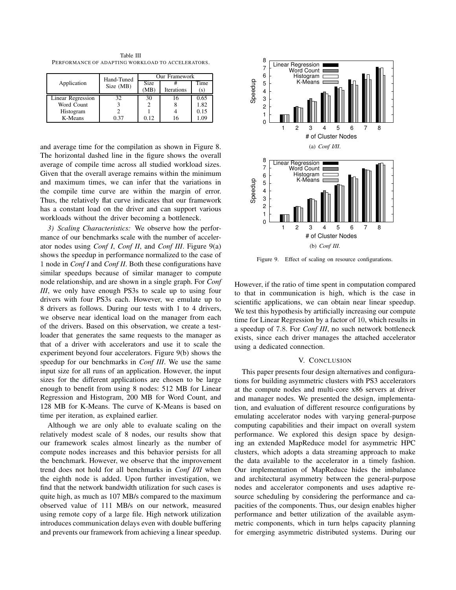Table III PERFORMANCE OF ADAPTING WORKLOAD TO ACCELERATORS.

| Application       | Hand-Tuned<br>Size (MB) | Our Framework |            |      |
|-------------------|-------------------------|---------------|------------|------|
|                   |                         | Size          |            | Time |
|                   |                         | MB)           | Iterations | (s)  |
| Linear Regression | 32                      | 30            |            | 0.65 |
| Word Count        |                         |               |            | 1.82 |
| Histogram         |                         |               |            | 0.15 |
| K-Means           | 0.37                    | 0.12          | 16         | 1.09 |

and average time for the compilation as shown in Figure 8. The horizontal dashed line in the figure shows the overall average of compile time across all studied workload sizes. Given that the overall average remains within the minimum and maximum times, we can infer that the variations in the compile time curve are within the margin of error. Thus, the relatively flat curve indicates that our framework has a constant load on the driver and can support various workloads without the driver becoming a bottleneck.

*3) Scaling Characteristics:* We observe how the performance of our benchmarks scale with the number of accelerator nodes using *Conf I*, *Conf II*, and *Conf III*. Figure 9(a) shows the speedup in performance normalized to the case of 1 node in *Conf I* and *Conf II*. Both these configurations have similar speedups because of similar manager to compute node relationship, and are shown in a single graph. For *Conf III*, we only have enough PS3s to scale up to using four drivers with four PS3s each. However, we emulate up to 8 drivers as follows. During our tests with 1 to 4 drivers, we observe near identical load on the manager from each of the drivers. Based on this observation, we create a testloader that generates the same requests to the manager as that of a driver with accelerators and use it to scale the experiment beyond four accelerators. Figure 9(b) shows the speedup for our benchmarks in *Conf III*. We use the same input size for all runs of an application. However, the input sizes for the different applications are chosen to be large enough to benefit from using 8 nodes: 512 MB for Linear Regression and Histogram, 200 MB for Word Count, and 128 MB for K-Means. The curve of K-Means is based on time per iteration, as explained earlier.

Although we are only able to evaluate scaling on the relatively modest scale of 8 nodes, our results show that our framework scales almost linearly as the number of compute nodes increases and this behavior persists for all the benchmark. However, we observe that the improvement trend does not hold for all benchmarks in *Conf I/II* when the eighth node is added. Upon further investigation, we find that the network bandwidth utilization for such cases is quite high, as much as 107 MB/s compared to the maximum observed value of 111 MB/s on our network, measured using remote copy of a large file. High network utilization introduces communication delays even with double buffering and prevents our framework from achieving a linear speedup.



Figure 9. Effect of scaling on resource configurations.

However, if the ratio of time spent in computation compared to that in communication is high, which is the case in scientific applications, we can obtain near linear speedup. We test this hypothesis by artificially increasing our compute time for Linear Regression by a factor of 10, which results in a speedup of 7.8. For *Conf III*, no such network bottleneck exists, since each driver manages the attached accelerator using a dedicated connection.

### V. CONCLUSION

This paper presents four design alternatives and configurations for building asymmetric clusters with PS3 accelerators at the compute nodes and multi-core x86 servers at driver and manager nodes. We presented the design, implementation, and evaluation of different resource configurations by emulating accelerator nodes with varying general-purpose computing capabilities and their impact on overall system performance. We explored this design space by designing an extended MapReduce model for asymmetric HPC clusters, which adopts a data streaming approach to make the data available to the accelerator in a timely fashion. Our implementation of MapReduce hides the imbalance and architectural asymmetry between the general-purpose nodes and accelerator components and uses adaptive resource scheduling by considering the performance and capacities of the components. Thus, our design enables higher performance and better utilization of the available asymmetric components, which in turn helps capacity planning for emerging asymmetric distributed systems. During our